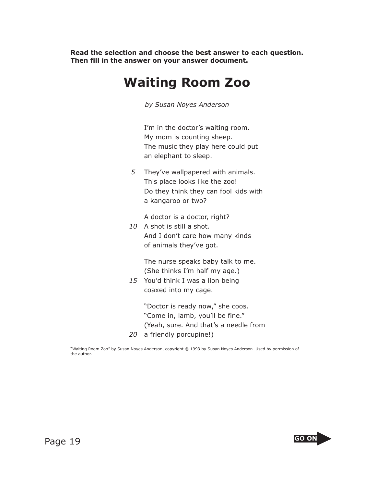**Read the selection and choose the best answer to each question. Then fill in the answer on your answer document.**

## **Waiting Room Zoo**

*by Susan Noyes Anderson*

 I'm in the doctor's waiting room. My mom is counting sheep. The music they play here could put an elephant to sleep.

*5* They've wallpapered with animals. This place looks like the zoo! Do they think they can fool kids with a kangaroo or two?

A doctor is a doctor, right?

*10* A shot is still a shot. And I don't care how many kinds of animals they've got.

> The nurse speaks baby talk to me. (She thinks I'm half my age.)

*15* You'd think I was a lion being coaxed into my cage.

> "Doctor is ready now," she coos. "Come in, lamb, you'll be fine." (Yeah, sure. And that's a needle from

*20* a friendly porcupine!)

"Waiting Room Zoo" by Susan Noyes Anderson, copyright © 1993 by Susan Noyes Anderson. Used by permission of the author.

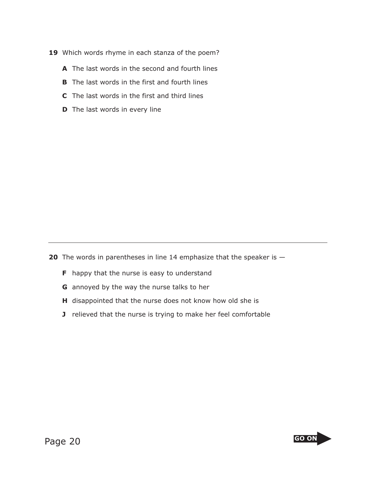- 19 Which words rhyme in each stanza of the poem?
	- **A** The last words in the second and fourth lines
	- **B** The last words in the first and fourth lines
	- **C** The last words in the first and third lines
	- **D** The last words in every line

**20** The words in parentheses in line 14 emphasize that the speaker is  $-$ 

- **F** happy that the nurse is easy to understand
- **G** annoyed by the way the nurse talks to her
- **H** disappointed that the nurse does not know how old she is
- **J** relieved that the nurse is trying to make her feel comfortable

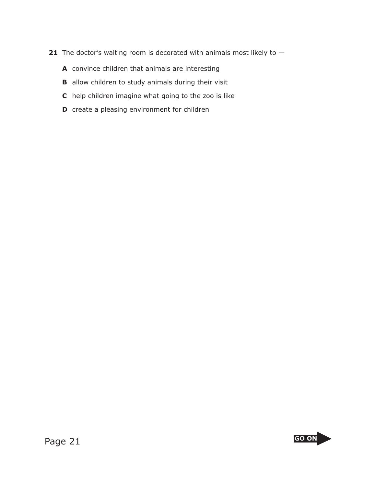- **21** The doctor's waiting room is decorated with animals most likely to  $-$ 
	- **A** convince children that animals are interesting
	- **B** allow children to study animals during their visit
	- **C** help children imagine what going to the zoo is like
	- **D** create a pleasing environment for children